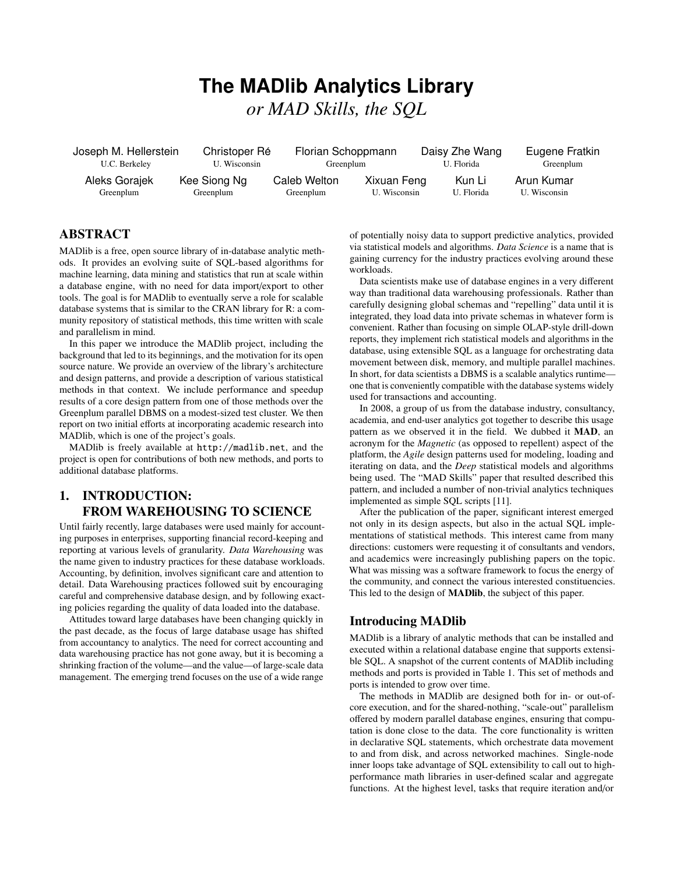# **The MADlib Analytics Library** *or MAD Skills, the SQL*

Joseph M. Hellerstein U.C. Berkeley Christoper Ré U. Wisconsin Florian Schoppmann Greenplum Daisy Zhe Wang U. Florida Eugene Fratkin Greenplum Aleks Gorajek Greenplum Kee Siong Ng Greenplum Caleb Welton Greenplum Xixuan Feng U. Wisconsin Kun Li U. Florida Arun Kumar U. Wisconsin

# ABSTRACT

MADlib is a free, open source library of in-database analytic methods. It provides an evolving suite of SQL-based algorithms for machine learning, data mining and statistics that run at scale within a database engine, with no need for data import/export to other tools. The goal is for MADlib to eventually serve a role for scalable database systems that is similar to the CRAN library for R: a community repository of statistical methods, this time written with scale and parallelism in mind.

In this paper we introduce the MADlib project, including the background that led to its beginnings, and the motivation for its open source nature. We provide an overview of the library's architecture and design patterns, and provide a description of various statistical methods in that context. We include performance and speedup results of a core design pattern from one of those methods over the Greenplum parallel DBMS on a modest-sized test cluster. We then report on two initial efforts at incorporating academic research into MADlib, which is one of the project's goals.

MADlib is freely available at http://madlib.net, and the project is open for contributions of both new methods, and ports to additional database platforms.

# 1. INTRODUCTION: FROM WAREHOUSING TO SCIENCE

Until fairly recently, large databases were used mainly for accounting purposes in enterprises, supporting financial record-keeping and reporting at various levels of granularity. *Data Warehousing* was the name given to industry practices for these database workloads. Accounting, by definition, involves significant care and attention to detail. Data Warehousing practices followed suit by encouraging careful and comprehensive database design, and by following exacting policies regarding the quality of data loaded into the database.

Attitudes toward large databases have been changing quickly in the past decade, as the focus of large database usage has shifted from accountancy to analytics. The need for correct accounting and data warehousing practice has not gone away, but it is becoming a shrinking fraction of the volume—and the value—of large-scale data management. The emerging trend focuses on the use of a wide range

of potentially noisy data to support predictive analytics, provided via statistical models and algorithms. *Data Science* is a name that is gaining currency for the industry practices evolving around these workloads.

Data scientists make use of database engines in a very different way than traditional data warehousing professionals. Rather than carefully designing global schemas and "repelling" data until it is integrated, they load data into private schemas in whatever form is convenient. Rather than focusing on simple OLAP-style drill-down reports, they implement rich statistical models and algorithms in the database, using extensible SQL as a language for orchestrating data movement between disk, memory, and multiple parallel machines. In short, for data scientists a DBMS is a scalable analytics runtime one that is conveniently compatible with the database systems widely used for transactions and accounting.

In 2008, a group of us from the database industry, consultancy, academia, and end-user analytics got together to describe this usage pattern as we observed it in the field. We dubbed it MAD, an acronym for the *Magnetic* (as opposed to repellent) aspect of the platform, the *Agile* design patterns used for modeling, loading and iterating on data, and the *Deep* statistical models and algorithms being used. The "MAD Skills" paper that resulted described this pattern, and included a number of non-trivial analytics techniques implemented as simple SQL scripts [11].

After the publication of the paper, significant interest emerged not only in its design aspects, but also in the actual SQL implementations of statistical methods. This interest came from many directions: customers were requesting it of consultants and vendors, and academics were increasingly publishing papers on the topic. What was missing was a software framework to focus the energy of the community, and connect the various interested constituencies. This led to the design of MADlib, the subject of this paper.

## Introducing MADlib

MADlib is a library of analytic methods that can be installed and executed within a relational database engine that supports extensible SQL. A snapshot of the current contents of MADlib including methods and ports is provided in Table 1. This set of methods and ports is intended to grow over time.

The methods in MADlib are designed both for in- or out-ofcore execution, and for the shared-nothing, "scale-out" parallelism offered by modern parallel database engines, ensuring that computation is done close to the data. The core functionality is written in declarative SQL statements, which orchestrate data movement to and from disk, and across networked machines. Single-node inner loops take advantage of SQL extensibility to call out to highperformance math libraries in user-defined scalar and aggregate functions. At the highest level, tasks that require iteration and/or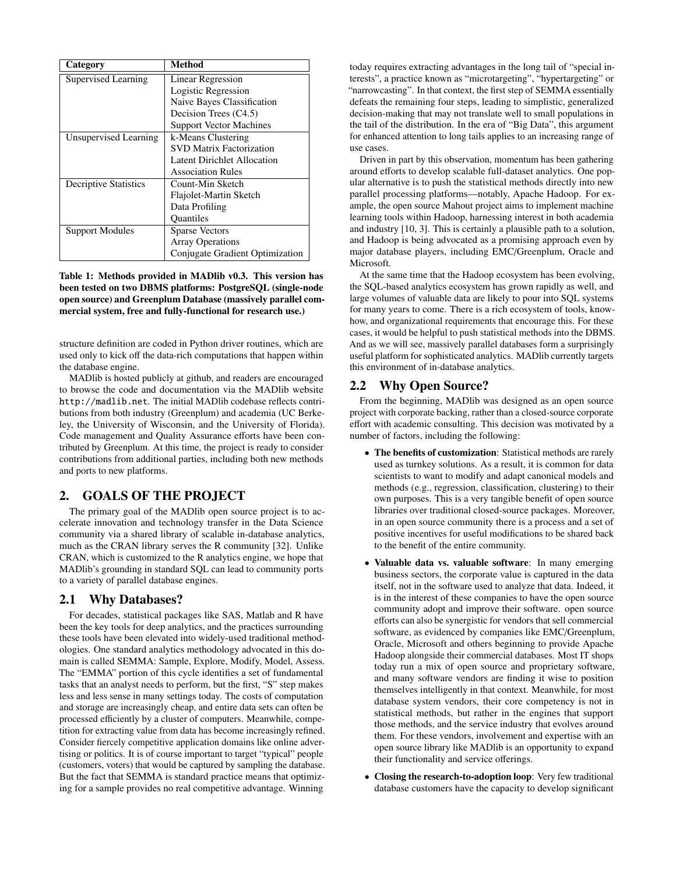| Category                     | <b>Method</b>                   |
|------------------------------|---------------------------------|
| Supervised Learning          | Linear Regression               |
|                              | Logistic Regression             |
|                              | Naive Bayes Classification      |
|                              | Decision Trees (C4.5)           |
|                              | <b>Support Vector Machines</b>  |
| Unsupervised Learning        | k-Means Clustering              |
|                              | <b>SVD Matrix Factorization</b> |
|                              | Latent Dirichlet Allocation     |
|                              | <b>Association Rules</b>        |
| <b>Decriptive Statistics</b> | Count-Min Sketch                |
|                              | Flajolet-Martin Sketch          |
|                              | Data Profiling                  |
|                              | <b>Ouantiles</b>                |
| <b>Support Modules</b>       | <b>Sparse Vectors</b>           |
|                              | <b>Array Operations</b>         |
|                              | Conjugate Gradient Optimization |

Table 1: Methods provided in MADlib v0.3. This version has been tested on two DBMS platforms: PostgreSQL (single-node open source) and Greenplum Database (massively parallel commercial system, free and fully-functional for research use.)

structure definition are coded in Python driver routines, which are used only to kick off the data-rich computations that happen within the database engine.

MADlib is hosted publicly at github, and readers are encouraged to browse the code and documentation via the MADlib website http://madlib.net. The initial MADlib codebase reflects contributions from both industry (Greenplum) and academia (UC Berkeley, the University of Wisconsin, and the University of Florida). Code management and Quality Assurance efforts have been contributed by Greenplum. At this time, the project is ready to consider contributions from additional parties, including both new methods and ports to new platforms.

# 2. GOALS OF THE PROJECT

The primary goal of the MADlib open source project is to accelerate innovation and technology transfer in the Data Science community via a shared library of scalable in-database analytics, much as the CRAN library serves the R community [32]. Unlike CRAN, which is customized to the R analytics engine, we hope that MADlib's grounding in standard SQL can lead to community ports to a variety of parallel database engines.

# 2.1 Why Databases?

For decades, statistical packages like SAS, Matlab and R have been the key tools for deep analytics, and the practices surrounding these tools have been elevated into widely-used traditional methodologies. One standard analytics methodology advocated in this domain is called SEMMA: Sample, Explore, Modify, Model, Assess. The "EMMA" portion of this cycle identifies a set of fundamental tasks that an analyst needs to perform, but the first, "S" step makes less and less sense in many settings today. The costs of computation and storage are increasingly cheap, and entire data sets can often be processed efficiently by a cluster of computers. Meanwhile, competition for extracting value from data has become increasingly refined. Consider fiercely competitive application domains like online advertising or politics. It is of course important to target "typical" people (customers, voters) that would be captured by sampling the database. But the fact that SEMMA is standard practice means that optimizing for a sample provides no real competitive advantage. Winning today requires extracting advantages in the long tail of "special interests", a practice known as "microtargeting", "hypertargeting" or "narrowcasting". In that context, the first step of SEMMA essentially defeats the remaining four steps, leading to simplistic, generalized decision-making that may not translate well to small populations in the tail of the distribution. In the era of "Big Data", this argument for enhanced attention to long tails applies to an increasing range of use cases.

Driven in part by this observation, momentum has been gathering around efforts to develop scalable full-dataset analytics. One popular alternative is to push the statistical methods directly into new parallel processing platforms—notably, Apache Hadoop. For example, the open source Mahout project aims to implement machine learning tools within Hadoop, harnessing interest in both academia and industry [10, 3]. This is certainly a plausible path to a solution, and Hadoop is being advocated as a promising approach even by major database players, including EMC/Greenplum, Oracle and Microsoft.

At the same time that the Hadoop ecosystem has been evolving, the SQL-based analytics ecosystem has grown rapidly as well, and large volumes of valuable data are likely to pour into SQL systems for many years to come. There is a rich ecosystem of tools, knowhow, and organizational requirements that encourage this. For these cases, it would be helpful to push statistical methods into the DBMS. And as we will see, massively parallel databases form a surprisingly useful platform for sophisticated analytics. MADlib currently targets this environment of in-database analytics.

# 2.2 Why Open Source?

From the beginning, MADlib was designed as an open source project with corporate backing, rather than a closed-source corporate effort with academic consulting. This decision was motivated by a number of factors, including the following:

- The benefits of customization: Statistical methods are rarely used as turnkey solutions. As a result, it is common for data scientists to want to modify and adapt canonical models and methods (e.g., regression, classification, clustering) to their own purposes. This is a very tangible benefit of open source libraries over traditional closed-source packages. Moreover, in an open source community there is a process and a set of positive incentives for useful modifications to be shared back to the benefit of the entire community.
- Valuable data vs. valuable software: In many emerging business sectors, the corporate value is captured in the data itself, not in the software used to analyze that data. Indeed, it is in the interest of these companies to have the open source community adopt and improve their software. open source efforts can also be synergistic for vendors that sell commercial software, as evidenced by companies like EMC/Greenplum, Oracle, Microsoft and others beginning to provide Apache Hadoop alongside their commercial databases. Most IT shops today run a mix of open source and proprietary software, and many software vendors are finding it wise to position themselves intelligently in that context. Meanwhile, for most database system vendors, their core competency is not in statistical methods, but rather in the engines that support those methods, and the service industry that evolves around them. For these vendors, involvement and expertise with an open source library like MADlib is an opportunity to expand their functionality and service offerings.
- Closing the research-to-adoption loop: Very few traditional database customers have the capacity to develop significant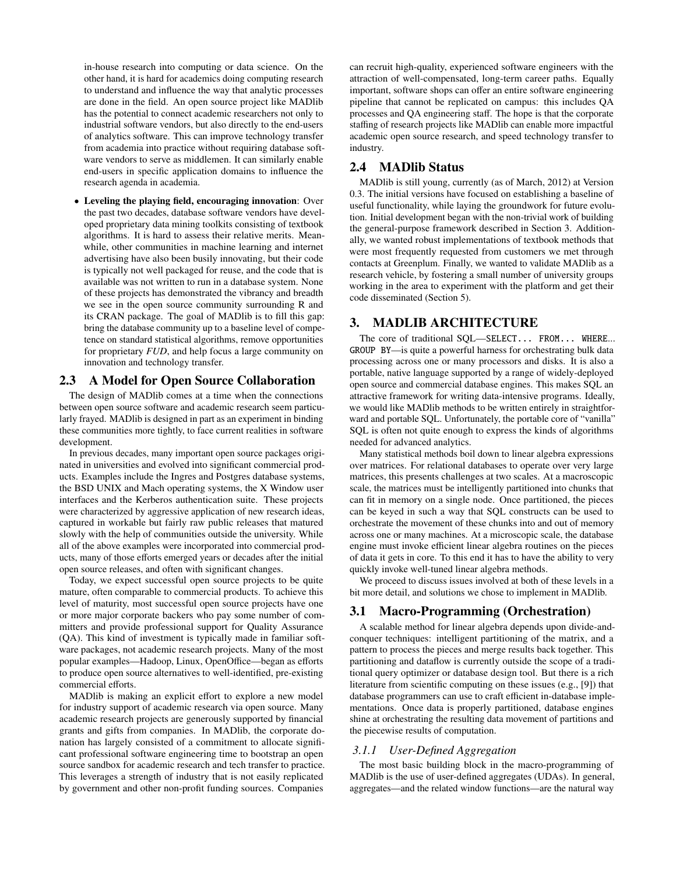in-house research into computing or data science. On the other hand, it is hard for academics doing computing research to understand and influence the way that analytic processes are done in the field. An open source project like MADlib has the potential to connect academic researchers not only to industrial software vendors, but also directly to the end-users of analytics software. This can improve technology transfer from academia into practice without requiring database software vendors to serve as middlemen. It can similarly enable end-users in specific application domains to influence the research agenda in academia.

• Leveling the playing field, encouraging innovation: Over the past two decades, database software vendors have developed proprietary data mining toolkits consisting of textbook algorithms. It is hard to assess their relative merits. Meanwhile, other communities in machine learning and internet advertising have also been busily innovating, but their code is typically not well packaged for reuse, and the code that is available was not written to run in a database system. None of these projects has demonstrated the vibrancy and breadth we see in the open source community surrounding R and its CRAN package. The goal of MADlib is to fill this gap: bring the database community up to a baseline level of competence on standard statistical algorithms, remove opportunities for proprietary *FUD*, and help focus a large community on innovation and technology transfer.

#### 2.3 A Model for Open Source Collaboration

The design of MADlib comes at a time when the connections between open source software and academic research seem particularly frayed. MADlib is designed in part as an experiment in binding these communities more tightly, to face current realities in software development.

In previous decades, many important open source packages originated in universities and evolved into significant commercial products. Examples include the Ingres and Postgres database systems, the BSD UNIX and Mach operating systems, the X Window user interfaces and the Kerberos authentication suite. These projects were characterized by aggressive application of new research ideas, captured in workable but fairly raw public releases that matured slowly with the help of communities outside the university. While all of the above examples were incorporated into commercial products, many of those efforts emerged years or decades after the initial open source releases, and often with significant changes.

Today, we expect successful open source projects to be quite mature, often comparable to commercial products. To achieve this level of maturity, most successful open source projects have one or more major corporate backers who pay some number of committers and provide professional support for Quality Assurance (QA). This kind of investment is typically made in familiar software packages, not academic research projects. Many of the most popular examples—Hadoop, Linux, OpenOffice—began as efforts to produce open source alternatives to well-identified, pre-existing commercial efforts.

MADlib is making an explicit effort to explore a new model for industry support of academic research via open source. Many academic research projects are generously supported by financial grants and gifts from companies. In MADlib, the corporate donation has largely consisted of a commitment to allocate significant professional software engineering time to bootstrap an open source sandbox for academic research and tech transfer to practice. This leverages a strength of industry that is not easily replicated by government and other non-profit funding sources. Companies

can recruit high-quality, experienced software engineers with the attraction of well-compensated, long-term career paths. Equally important, software shops can offer an entire software engineering pipeline that cannot be replicated on campus: this includes QA processes and QA engineering staff. The hope is that the corporate staffing of research projects like MADlib can enable more impactful academic open source research, and speed technology transfer to industry.

#### 2.4 MADlib Status

MADlib is still young, currently (as of March, 2012) at Version 0.3. The initial versions have focused on establishing a baseline of useful functionality, while laying the groundwork for future evolution. Initial development began with the non-trivial work of building the general-purpose framework described in Section 3. Additionally, we wanted robust implementations of textbook methods that were most frequently requested from customers we met through contacts at Greenplum. Finally, we wanted to validate MADlib as a research vehicle, by fostering a small number of university groups working in the area to experiment with the platform and get their code disseminated (Section 5).

# 3. MADLIB ARCHITECTURE

The core of traditional SQL—SELECT... FROM... WHERE... GROUP BY—is quite a powerful harness for orchestrating bulk data processing across one or many processors and disks. It is also a portable, native language supported by a range of widely-deployed open source and commercial database engines. This makes SQL an attractive framework for writing data-intensive programs. Ideally, we would like MADlib methods to be written entirely in straightforward and portable SQL. Unfortunately, the portable core of "vanilla" SQL is often not quite enough to express the kinds of algorithms needed for advanced analytics.

Many statistical methods boil down to linear algebra expressions over matrices. For relational databases to operate over very large matrices, this presents challenges at two scales. At a macroscopic scale, the matrices must be intelligently partitioned into chunks that can fit in memory on a single node. Once partitioned, the pieces can be keyed in such a way that SQL constructs can be used to orchestrate the movement of these chunks into and out of memory across one or many machines. At a microscopic scale, the database engine must invoke efficient linear algebra routines on the pieces of data it gets in core. To this end it has to have the ability to very quickly invoke well-tuned linear algebra methods.

We proceed to discuss issues involved at both of these levels in a bit more detail, and solutions we chose to implement in MADlib.

## 3.1 Macro-Programming (Orchestration)

A scalable method for linear algebra depends upon divide-andconquer techniques: intelligent partitioning of the matrix, and a pattern to process the pieces and merge results back together. This partitioning and dataflow is currently outside the scope of a traditional query optimizer or database design tool. But there is a rich literature from scientific computing on these issues (e.g., [9]) that database programmers can use to craft efficient in-database implementations. Once data is properly partitioned, database engines shine at orchestrating the resulting data movement of partitions and the piecewise results of computation.

#### *3.1.1 User-Defined Aggregation*

The most basic building block in the macro-programming of MADlib is the use of user-defined aggregates (UDAs). In general, aggregates—and the related window functions—are the natural way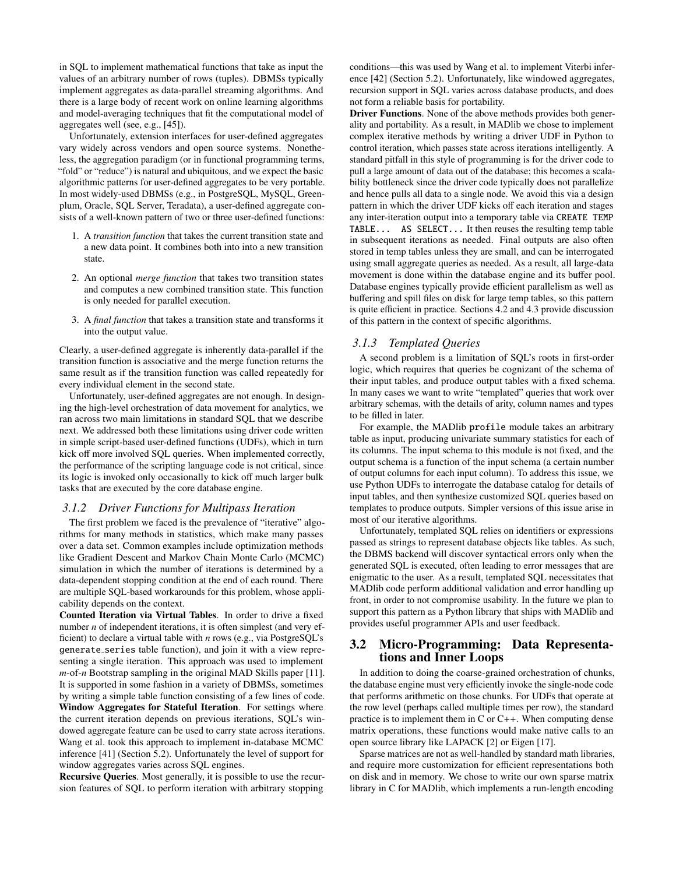in SQL to implement mathematical functions that take as input the values of an arbitrary number of rows (tuples). DBMSs typically implement aggregates as data-parallel streaming algorithms. And there is a large body of recent work on online learning algorithms and model-averaging techniques that fit the computational model of aggregates well (see, e.g., [45]).

Unfortunately, extension interfaces for user-defined aggregates vary widely across vendors and open source systems. Nonetheless, the aggregation paradigm (or in functional programming terms, "fold" or "reduce") is natural and ubiquitous, and we expect the basic algorithmic patterns for user-defined aggregates to be very portable. In most widely-used DBMSs (e.g., in PostgreSQL, MySQL, Greenplum, Oracle, SQL Server, Teradata), a user-defined aggregate consists of a well-known pattern of two or three user-defined functions:

- 1. A *transition function* that takes the current transition state and a new data point. It combines both into into a new transition state.
- 2. An optional *merge function* that takes two transition states and computes a new combined transition state. This function is only needed for parallel execution.
- 3. A *final function* that takes a transition state and transforms it into the output value.

Clearly, a user-defined aggregate is inherently data-parallel if the transition function is associative and the merge function returns the same result as if the transition function was called repeatedly for every individual element in the second state.

Unfortunately, user-defined aggregates are not enough. In designing the high-level orchestration of data movement for analytics, we ran across two main limitations in standard SQL that we describe next. We addressed both these limitations using driver code written in simple script-based user-defined functions (UDFs), which in turn kick off more involved SQL queries. When implemented correctly, the performance of the scripting language code is not critical, since its logic is invoked only occasionally to kick off much larger bulk tasks that are executed by the core database engine.

#### *3.1.2 Driver Functions for Multipass Iteration*

The first problem we faced is the prevalence of "iterative" algorithms for many methods in statistics, which make many passes over a data set. Common examples include optimization methods like Gradient Descent and Markov Chain Monte Carlo (MCMC) simulation in which the number of iterations is determined by a data-dependent stopping condition at the end of each round. There are multiple SQL-based workarounds for this problem, whose applicability depends on the context.

Counted Iteration via Virtual Tables. In order to drive a fixed number *n* of independent iterations, it is often simplest (and very efficient) to declare a virtual table with *n* rows (e.g., via PostgreSQL's generate series table function), and join it with a view representing a single iteration. This approach was used to implement *m*-of-*n* Bootstrap sampling in the original MAD Skills paper [11]. It is supported in some fashion in a variety of DBMSs, sometimes by writing a simple table function consisting of a few lines of code. Window Aggregates for Stateful Iteration. For settings where the current iteration depends on previous iterations, SQL's windowed aggregate feature can be used to carry state across iterations. Wang et al. took this approach to implement in-database MCMC inference [41] (Section 5.2). Unfortunately the level of support for window aggregates varies across SQL engines.

Recursive Queries. Most generally, it is possible to use the recursion features of SQL to perform iteration with arbitrary stopping conditions—this was used by Wang et al. to implement Viterbi inference [42] (Section 5.2). Unfortunately, like windowed aggregates, recursion support in SQL varies across database products, and does not form a reliable basis for portability.

Driver Functions. None of the above methods provides both generality and portability. As a result, in MADlib we chose to implement complex iterative methods by writing a driver UDF in Python to control iteration, which passes state across iterations intelligently. A standard pitfall in this style of programming is for the driver code to pull a large amount of data out of the database; this becomes a scalability bottleneck since the driver code typically does not parallelize and hence pulls all data to a single node. We avoid this via a design pattern in which the driver UDF kicks off each iteration and stages any inter-iteration output into a temporary table via CREATE TEMP TABLE... AS SELECT... It then reuses the resulting temp table in subsequent iterations as needed. Final outputs are also often stored in temp tables unless they are small, and can be interrogated using small aggregate queries as needed. As a result, all large-data movement is done within the database engine and its buffer pool. Database engines typically provide efficient parallelism as well as buffering and spill files on disk for large temp tables, so this pattern is quite efficient in practice. Sections 4.2 and 4.3 provide discussion of this pattern in the context of specific algorithms.

#### *3.1.3 Templated Queries*

A second problem is a limitation of SQL's roots in first-order logic, which requires that queries be cognizant of the schema of their input tables, and produce output tables with a fixed schema. In many cases we want to write "templated" queries that work over arbitrary schemas, with the details of arity, column names and types to be filled in later.

For example, the MADlib profile module takes an arbitrary table as input, producing univariate summary statistics for each of its columns. The input schema to this module is not fixed, and the output schema is a function of the input schema (a certain number of output columns for each input column). To address this issue, we use Python UDFs to interrogate the database catalog for details of input tables, and then synthesize customized SQL queries based on templates to produce outputs. Simpler versions of this issue arise in most of our iterative algorithms.

Unfortunately, templated SQL relies on identifiers or expressions passed as strings to represent database objects like tables. As such, the DBMS backend will discover syntactical errors only when the generated SQL is executed, often leading to error messages that are enigmatic to the user. As a result, templated SQL necessitates that MADlib code perform additional validation and error handling up front, in order to not compromise usability. In the future we plan to support this pattern as a Python library that ships with MADlib and provides useful programmer APIs and user feedback.

## 3.2 Micro-Programming: Data Representations and Inner Loops

In addition to doing the coarse-grained orchestration of chunks, the database engine must very efficiently invoke the single-node code that performs arithmetic on those chunks. For UDFs that operate at the row level (perhaps called multiple times per row), the standard practice is to implement them in C or C++. When computing dense matrix operations, these functions would make native calls to an open source library like LAPACK [2] or Eigen [17].

Sparse matrices are not as well-handled by standard math libraries, and require more customization for efficient representations both on disk and in memory. We chose to write our own sparse matrix library in C for MADlib, which implements a run-length encoding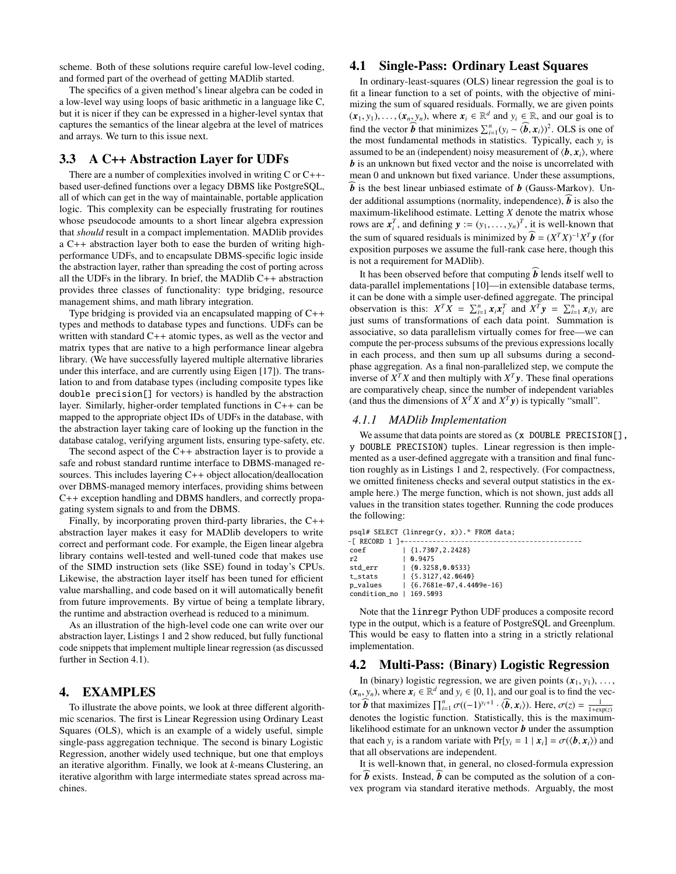scheme. Both of these solutions require careful low-level coding, and formed part of the overhead of getting MADlib started.

The specifics of a given method's linear algebra can be coded in a low-level way using loops of basic arithmetic in a language like C, but it is nicer if they can be expressed in a higher-level syntax that captures the semantics of the linear algebra at the level of matrices and arrays. We turn to this issue next.

#### 3.3 A C++ Abstraction Layer for UDFs

There are a number of complexities involved in writing C or C++ based user-defined functions over a legacy DBMS like PostgreSQL, all of which can get in the way of maintainable, portable application logic. This complexity can be especially frustrating for routines whose pseudocode amounts to a short linear algebra expression that *should* result in a compact implementation. MADlib provides a C++ abstraction layer both to ease the burden of writing highperformance UDFs, and to encapsulate DBMS-specific logic inside the abstraction layer, rather than spreading the cost of porting across all the UDFs in the library. In brief, the MADlib  $C++$  abstraction provides three classes of functionality: type bridging, resource management shims, and math library integration.

Type bridging is provided via an encapsulated mapping of C++ types and methods to database types and functions. UDFs can be written with standard C++ atomic types, as well as the vector and matrix types that are native to a high performance linear algebra library. (We have successfully layered multiple alternative libraries under this interface, and are currently using Eigen [17]). The translation to and from database types (including composite types like double precision[] for vectors) is handled by the abstraction layer. Similarly, higher-order templated functions in C++ can be mapped to the appropriate object IDs of UDFs in the database, with the abstraction layer taking care of looking up the function in the database catalog, verifying argument lists, ensuring type-safety, etc.

The second aspect of the  $C++$  abstraction layer is to provide a safe and robust standard runtime interface to DBMS-managed resources. This includes layering C++ object allocation/deallocation over DBMS-managed memory interfaces, providing shims between C++ exception handling and DBMS handlers, and correctly propagating system signals to and from the DBMS.

Finally, by incorporating proven third-party libraries, the C++ abstraction layer makes it easy for MADlib developers to write correct and performant code. For example, the Eigen linear algebra library contains well-tested and well-tuned code that makes use of the SIMD instruction sets (like SSE) found in today's CPUs. Likewise, the abstraction layer itself has been tuned for efficient value marshalling, and code based on it will automatically benefit from future improvements. By virtue of being a template library, the runtime and abstraction overhead is reduced to a minimum.

As an illustration of the high-level code one can write over our abstraction layer, Listings 1 and 2 show reduced, but fully functional code snippets that implement multiple linear regression (as discussed further in Section 4.1).

# 4. EXAMPLES

To illustrate the above points, we look at three different algorithmic scenarios. The first is Linear Regression using Ordinary Least Squares (OLS), which is an example of a widely useful, simple single-pass aggregation technique. The second is binary Logistic Regression, another widely used technique, but one that employs an iterative algorithm. Finally, we look at *k*-means Clustering, an iterative algorithm with large intermediate states spread across machines.

## 4.1 Single-Pass: Ordinary Least Squares

In ordinary-least-squares (OLS) linear regression the goal is to fit a linear function to a set of points, with the objective of minimizing the sum of squared residuals. Formally, we are given points  $(x_1, y_1), \ldots, (x_n, y_n)$ , where  $x_i \in \mathbb{R}^d$  and  $y_i \in \mathbb{R}$ , and our goal is to find the vector *b* that minimizes  $\sum^n$  (*y*)  $(\hat{h}, \mathbf{x})^2$  OLS is one of find the vector  $\hat{b}$  that minimizes  $\sum_{i=1}^{n} (y_i - \langle \hat{b}, x_i \rangle)^2$ . OLS is one of the most fundamental methods in statistics. Typically, each  $y_i$  is the most fundamental methods in statistics. Typically, each *y<sup>i</sup>* is assumed to be an (independent) noisy measurement of  $\langle \mathbf{b}, \mathbf{x}_i \rangle$ , where *b* is an unknown but fixed vector and the noise is uncorrelated with mean 0 and unknown but fixed variance. Under these assumptions,  $\boldsymbol{b}$  is the best linear unbiased estimate of  $\boldsymbol{b}$  (Gauss-Markov). Under additional assumptions (normality, independence),  $\vec{b}$  is also the maximum-likelihood estimate. Letting *X* denote the matrix whose rows are  $x_i^T$ , and defining  $y := (y_1, \ldots, y_n)^T$ , it is well-known that the sum of squared residuals is minimized by  $\mathbf{b} = (X^T X)^{-1} X^T y$  (for exposition purposes we assume the full-rank case here, though this is not a requirement for MADlib).

It has been observed before that computing  $\vec{b}$  lends itself well to data-parallel implementations [10]—in extensible database terms, it can be done with a simple user-defined aggregate. The principal observation is this:  $X^T X = \sum_{i=1}^n x_i x_i^T$  and  $X^T y = \sum_{i=1}^n x_i y_i$  are just sums of transformations of each data point. Summation is associative, so data parallelism virtually comes for free—we can compute the per-process subsums of the previous expressions locally in each process, and then sum up all subsums during a secondphase aggregation. As a final non-parallelized step, we compute the inverse of  $X^T X$  and then multiply with  $X^T y$ . These final operations are comparatively cheap, since the number of independent variables (and thus the dimensions of  $X^T X$  and  $X^T y$ ) is typically "small".

#### *4.1.1 MADlib Implementation*

We assume that data points are stored as  $(x$  DOUBLE PRECISION[], y DOUBLE PRECISION) tuples. Linear regression is then implemented as a user-defined aggregate with a transition and final function roughly as in Listings 1 and 2, respectively. (For compactness, we omitted finiteness checks and several output statistics in the example here.) The merge function, which is not shown, just adds all values in the transition states together. Running the code produces the following:

psql# SELECT (linregr(y, x)).\* FROM data;

| - [ RECORD 1 ] +----------------- |
|-----------------------------------|
| $\{1.7307, 2.2428\}$              |
| 10.9475                           |
| $\{0.3258.0.0533\}$               |
| $\{5.3127, 42.0640\}$             |
| $\{6.7681e-07, 4.4409e-16\}$      |
| $condition\_no$   169.5093        |
|                                   |

Note that the linregr Python UDF produces a composite record type in the output, which is a feature of PostgreSQL and Greenplum. This would be easy to flatten into a string in a strictly relational implementation.

#### 4.2 Multi-Pass: (Binary) Logistic Regression

In (binary) logistic regression, we are given points  $(x_1, y_1), \ldots,$  y by where  $x_i \in \mathbb{R}^d$  and  $y_i \in \{0, 1\}$  and our goal is to find the yeo- $(x_n, y_n)$ , where  $x_i \in \mathbb{R}^d$  and  $y_i \in \{0, 1\}$ , and our goal is to find the vector **f**, that maximizes  $\Pi^n$ ,  $\mathcal{T}^{\ell}$   $(\ell_1, y_i + 1, \ell_2, y_i)$ . Here  $\mathcal{T}^{(\ell)} = \frac{1}{\ell_1}$ tor **b** that maximizes  $\prod_{i=1}^{n} \sigma((-1)^{y_i+1} \cdot \langle \mathbf{b}, \mathbf{x}_i \rangle)$ . Here,  $\sigma(z) = \frac{1}{1 + \exp(z)}$ denotes the logistic function. Statistically, this is the maximumlikelihood estimate for an unknown vector *b* under the assumption that each *y<sub>i</sub>* is a random variate with Pr[*y<sub>i</sub>* = 1 |  $x_i$ ] =  $\sigma(\langle \mathbf{b}, x_i \rangle)$  and that all observations are independent that all observations are independent.

It is well-known that, in general, no closed-formula expression for  $\hat{b}$  exists. Instead,  $\hat{b}$  can be computed as the solution of a convex program via standard iterative methods. Arguably, the most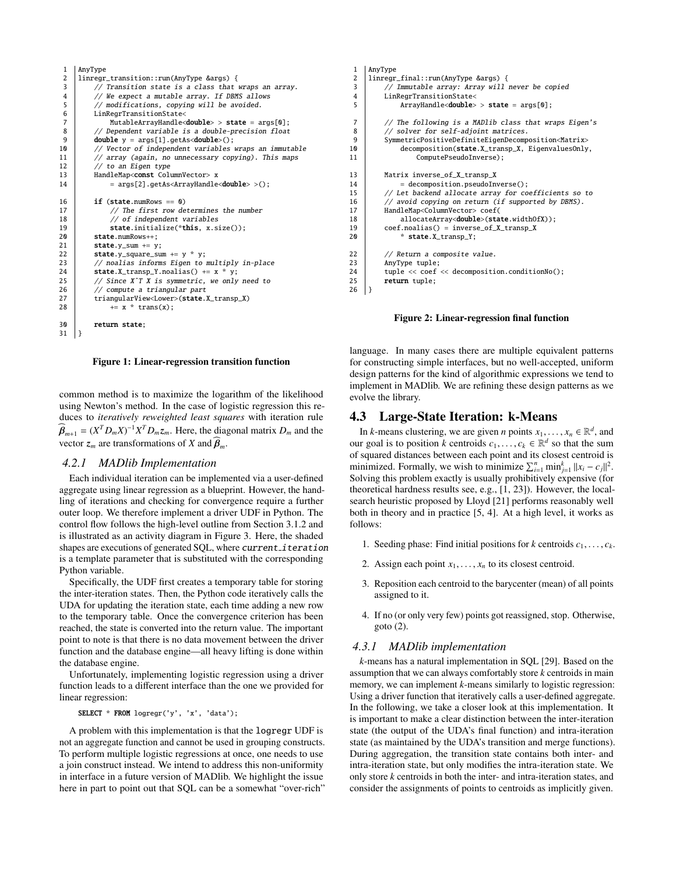| 2<br>linregr_transition::run(AnyType &args) {<br>3<br>// Transition state is a class that wraps an array.<br>4<br>// We expect a mutable array. If DBMS allows<br>5<br>// modifications, copying will be avoided.<br>6<br>LinRegrTransitionState<<br>$\overline{7}$<br>MutableArrayHandle <double> &gt; state = <math>arg[0]</math>;<br/>8<br/>// Dependent variable is a double-precision float<br/>9<br/><math>double y = args[1].getAs &lt; double&gt;().</math><br/>// Vector of independent variables wraps an immutable<br/>10<br/>// array (again, no unnecessary copying). This maps<br/>11<br/><math>//</math> to an Eigen type<br/>12<br/>13<br/>HandleMap<const columnvector=""> x<br/><math>= \arg[2] . \text{qetAs} \langle \text{ArrayH} \rangle = \text{double} &gt; 0</math>;<br/>14<br/>if <math>(state.numRows == 0)</math><br/>16<br/>// The first row determines the number<br/>17<br/>18<br/>// of independent variables<br/>state.initialize(*this, x.size());<br/>19<br/>20<br/>state.numRows++:<br/>21<br/><math>state.y\_sum += y</math>;<br/>22<br/>state.y_square_sum += <math>y * y</math>;<br/>// noalias informs Eigen to multiply in-place<br/>23<br/>state.X_transp_Y.noalias() += <math>x * y</math>;<br/>24<br/>25<br/>// Since X^T X is symmetric, we only need to<br/>// compute a triangular part<br/>26<br/>triangularView<lower>(state.X_transp_X)<br/>27<br/><math>+= x * trans(x);</math><br/>28<br/>30<br/>return state;<br/>31<br/>ł</lower></const></double> | 1 | AnyType |
|----------------------------------------------------------------------------------------------------------------------------------------------------------------------------------------------------------------------------------------------------------------------------------------------------------------------------------------------------------------------------------------------------------------------------------------------------------------------------------------------------------------------------------------------------------------------------------------------------------------------------------------------------------------------------------------------------------------------------------------------------------------------------------------------------------------------------------------------------------------------------------------------------------------------------------------------------------------------------------------------------------------------------------------------------------------------------------------------------------------------------------------------------------------------------------------------------------------------------------------------------------------------------------------------------------------------------------------------------------------------------------------------------------------------------------------------------------------------------------------------------------|---|---------|
|                                                                                                                                                                                                                                                                                                                                                                                                                                                                                                                                                                                                                                                                                                                                                                                                                                                                                                                                                                                                                                                                                                                                                                                                                                                                                                                                                                                                                                                                                                          |   |         |
|                                                                                                                                                                                                                                                                                                                                                                                                                                                                                                                                                                                                                                                                                                                                                                                                                                                                                                                                                                                                                                                                                                                                                                                                                                                                                                                                                                                                                                                                                                          |   |         |
|                                                                                                                                                                                                                                                                                                                                                                                                                                                                                                                                                                                                                                                                                                                                                                                                                                                                                                                                                                                                                                                                                                                                                                                                                                                                                                                                                                                                                                                                                                          |   |         |
|                                                                                                                                                                                                                                                                                                                                                                                                                                                                                                                                                                                                                                                                                                                                                                                                                                                                                                                                                                                                                                                                                                                                                                                                                                                                                                                                                                                                                                                                                                          |   |         |
|                                                                                                                                                                                                                                                                                                                                                                                                                                                                                                                                                                                                                                                                                                                                                                                                                                                                                                                                                                                                                                                                                                                                                                                                                                                                                                                                                                                                                                                                                                          |   |         |
|                                                                                                                                                                                                                                                                                                                                                                                                                                                                                                                                                                                                                                                                                                                                                                                                                                                                                                                                                                                                                                                                                                                                                                                                                                                                                                                                                                                                                                                                                                          |   |         |
|                                                                                                                                                                                                                                                                                                                                                                                                                                                                                                                                                                                                                                                                                                                                                                                                                                                                                                                                                                                                                                                                                                                                                                                                                                                                                                                                                                                                                                                                                                          |   |         |
|                                                                                                                                                                                                                                                                                                                                                                                                                                                                                                                                                                                                                                                                                                                                                                                                                                                                                                                                                                                                                                                                                                                                                                                                                                                                                                                                                                                                                                                                                                          |   |         |
|                                                                                                                                                                                                                                                                                                                                                                                                                                                                                                                                                                                                                                                                                                                                                                                                                                                                                                                                                                                                                                                                                                                                                                                                                                                                                                                                                                                                                                                                                                          |   |         |
|                                                                                                                                                                                                                                                                                                                                                                                                                                                                                                                                                                                                                                                                                                                                                                                                                                                                                                                                                                                                                                                                                                                                                                                                                                                                                                                                                                                                                                                                                                          |   |         |
|                                                                                                                                                                                                                                                                                                                                                                                                                                                                                                                                                                                                                                                                                                                                                                                                                                                                                                                                                                                                                                                                                                                                                                                                                                                                                                                                                                                                                                                                                                          |   |         |
|                                                                                                                                                                                                                                                                                                                                                                                                                                                                                                                                                                                                                                                                                                                                                                                                                                                                                                                                                                                                                                                                                                                                                                                                                                                                                                                                                                                                                                                                                                          |   |         |
|                                                                                                                                                                                                                                                                                                                                                                                                                                                                                                                                                                                                                                                                                                                                                                                                                                                                                                                                                                                                                                                                                                                                                                                                                                                                                                                                                                                                                                                                                                          |   |         |
|                                                                                                                                                                                                                                                                                                                                                                                                                                                                                                                                                                                                                                                                                                                                                                                                                                                                                                                                                                                                                                                                                                                                                                                                                                                                                                                                                                                                                                                                                                          |   |         |
|                                                                                                                                                                                                                                                                                                                                                                                                                                                                                                                                                                                                                                                                                                                                                                                                                                                                                                                                                                                                                                                                                                                                                                                                                                                                                                                                                                                                                                                                                                          |   |         |
|                                                                                                                                                                                                                                                                                                                                                                                                                                                                                                                                                                                                                                                                                                                                                                                                                                                                                                                                                                                                                                                                                                                                                                                                                                                                                                                                                                                                                                                                                                          |   |         |
|                                                                                                                                                                                                                                                                                                                                                                                                                                                                                                                                                                                                                                                                                                                                                                                                                                                                                                                                                                                                                                                                                                                                                                                                                                                                                                                                                                                                                                                                                                          |   |         |
|                                                                                                                                                                                                                                                                                                                                                                                                                                                                                                                                                                                                                                                                                                                                                                                                                                                                                                                                                                                                                                                                                                                                                                                                                                                                                                                                                                                                                                                                                                          |   |         |
|                                                                                                                                                                                                                                                                                                                                                                                                                                                                                                                                                                                                                                                                                                                                                                                                                                                                                                                                                                                                                                                                                                                                                                                                                                                                                                                                                                                                                                                                                                          |   |         |
|                                                                                                                                                                                                                                                                                                                                                                                                                                                                                                                                                                                                                                                                                                                                                                                                                                                                                                                                                                                                                                                                                                                                                                                                                                                                                                                                                                                                                                                                                                          |   |         |
|                                                                                                                                                                                                                                                                                                                                                                                                                                                                                                                                                                                                                                                                                                                                                                                                                                                                                                                                                                                                                                                                                                                                                                                                                                                                                                                                                                                                                                                                                                          |   |         |
|                                                                                                                                                                                                                                                                                                                                                                                                                                                                                                                                                                                                                                                                                                                                                                                                                                                                                                                                                                                                                                                                                                                                                                                                                                                                                                                                                                                                                                                                                                          |   |         |
|                                                                                                                                                                                                                                                                                                                                                                                                                                                                                                                                                                                                                                                                                                                                                                                                                                                                                                                                                                                                                                                                                                                                                                                                                                                                                                                                                                                                                                                                                                          |   |         |
|                                                                                                                                                                                                                                                                                                                                                                                                                                                                                                                                                                                                                                                                                                                                                                                                                                                                                                                                                                                                                                                                                                                                                                                                                                                                                                                                                                                                                                                                                                          |   |         |
|                                                                                                                                                                                                                                                                                                                                                                                                                                                                                                                                                                                                                                                                                                                                                                                                                                                                                                                                                                                                                                                                                                                                                                                                                                                                                                                                                                                                                                                                                                          |   |         |
|                                                                                                                                                                                                                                                                                                                                                                                                                                                                                                                                                                                                                                                                                                                                                                                                                                                                                                                                                                                                                                                                                                                                                                                                                                                                                                                                                                                                                                                                                                          |   |         |
|                                                                                                                                                                                                                                                                                                                                                                                                                                                                                                                                                                                                                                                                                                                                                                                                                                                                                                                                                                                                                                                                                                                                                                                                                                                                                                                                                                                                                                                                                                          |   |         |
|                                                                                                                                                                                                                                                                                                                                                                                                                                                                                                                                                                                                                                                                                                                                                                                                                                                                                                                                                                                                                                                                                                                                                                                                                                                                                                                                                                                                                                                                                                          |   |         |
|                                                                                                                                                                                                                                                                                                                                                                                                                                                                                                                                                                                                                                                                                                                                                                                                                                                                                                                                                                                                                                                                                                                                                                                                                                                                                                                                                                                                                                                                                                          |   |         |
|                                                                                                                                                                                                                                                                                                                                                                                                                                                                                                                                                                                                                                                                                                                                                                                                                                                                                                                                                                                                                                                                                                                                                                                                                                                                                                                                                                                                                                                                                                          |   |         |

Figure 1: Linear-regression transition function

common method is to maximize the logarithm of the likelihood using Newton's method. In the case of logistic regression this reduces to *iteratively reweighted least squares* with iteration rule  $\widehat{\beta}_{m+1} = (X^T D_m X)^{-1} X^T D_m z_m$ . Here, the diagonal matrix  $D_m$  and the vector  $z_m$  are transformations of *X* and  $\widehat{\beta}_m$ .

#### *4.2.1 MADlib Implementation*

Each individual iteration can be implemented via a user-defined aggregate using linear regression as a blueprint. However, the handling of iterations and checking for convergence require a further outer loop. We therefore implement a driver UDF in Python. The control flow follows the high-level outline from Section 3.1.2 and is illustrated as an activity diagram in Figure 3. Here, the shaded shapes are executions of generated SQL, where current iteration is a template parameter that is substituted with the corresponding Python variable.

Specifically, the UDF first creates a temporary table for storing the inter-iteration states. Then, the Python code iteratively calls the UDA for updating the iteration state, each time adding a new row to the temporary table. Once the convergence criterion has been reached, the state is converted into the return value. The important point to note is that there is no data movement between the driver function and the database engine—all heavy lifting is done within the database engine.

Unfortunately, implementing logistic regression using a driver function leads to a different interface than the one we provided for linear regression:

SELECT \* FROM logregr('y', 'x', 'data');

A problem with this implementation is that the logregr UDF is not an aggregate function and cannot be used in grouping constructs. To perform multiple logistic regressions at once, one needs to use a join construct instead. We intend to address this non-uniformity in interface in a future version of MADlib. We highlight the issue here in part to point out that SQL can be a somewhat "over-rich"

| $\mathbf{1}$   | AnyType                                                       |
|----------------|---------------------------------------------------------------|
| $\overline{c}$ | linregr_final::run(AnyType &args) {                           |
| 3              | // Immutable array: Array will never be copied                |
| 4              | LinRegrTransitionState<                                       |
| 5              | $ArrayHandle double > state = arg[0];$                        |
| $\overline{7}$ | // The following is a MADlib class that wraps Eigen's         |
| 8              | // solver for self-adjoint matrices.                          |
| 9              | SymmetricPositiveDefiniteEigenDecomposition <matrix></matrix> |
| 10             | decomposition(state.X_transp_X, EigenvaluesOnly,              |
| 11             | ComputePseudoInverse);                                        |
| 13             | Matrix inverse_of_X_transp_X                                  |
| 14             | = decomposition.pseudoInverse();                              |
| 15             | // Let backend allocate array for coefficients so to          |
| 16             | // avoid copying on return (if supported by DBMS).            |
| 17             | HandleMap <columnvector> coef(</columnvector>                 |
| 18             | allocateArray <double>(state.width0fX));</double>             |
| 19             | $coef.noalias() = inverse_of_X_transp_X$                      |
| 20             | * state.X_transp_Y;                                           |
| 22             | // Return a composite value.                                  |
| 23             | AnyType tuple;                                                |
| 24             | tuple << coef << decomposition.conditionNo();                 |
| 25             | return tuple;                                                 |
| 26             | }                                                             |

Figure 2: Linear-regression final function

language. In many cases there are multiple equivalent patterns for constructing simple interfaces, but no well-accepted, uniform design patterns for the kind of algorithmic expressions we tend to implement in MADlib. We are refining these design patterns as we evolve the library.

## 4.3 Large-State Iteration: k-Means

In *k*-means clustering, we are given *n* points  $x_1, \ldots, x_n \in \mathbb{R}^d$ , and r goal is to position *k* centroids  $c_1, \ldots, c_n \in \mathbb{R}^d$  so that the sum our goal is to position *k* centroids  $c_1, \ldots, c_k \in \mathbb{R}^d$  so that the sum of squared distances between each point and its closest centroid is of squared distances between each point and its closest centroid is minimized. Formally, we wish to minimize  $\sum_{i=1}^{n} \min_{j=1}^{k} ||x_i - c_j||^2$ Solving this problem exactly is usually prohibitively expensive (for theoretical hardness results see, e.g., [1, 23]). However, the localsearch heuristic proposed by Lloyd [21] performs reasonably well both in theory and in practice [5, 4]. At a high level, it works as follows:

- 1. Seeding phase: Find initial positions for *k* centroids  $c_1, \ldots, c_k$ .
- 2. Assign each point  $x_1, \ldots, x_n$  to its closest centroid.
- 3. Reposition each centroid to the barycenter (mean) of all points assigned to it.
- 4. If no (or only very few) points got reassigned, stop. Otherwise, goto (2).

#### *4.3.1 MADlib implementation*

*k*-means has a natural implementation in SQL [29]. Based on the assumption that we can always comfortably store *k* centroids in main memory, we can implement *k*-means similarly to logistic regression: Using a driver function that iteratively calls a user-defined aggregate. In the following, we take a closer look at this implementation. It is important to make a clear distinction between the inter-iteration state (the output of the UDA's final function) and intra-iteration state (as maintained by the UDA's transition and merge functions). During aggregation, the transition state contains both inter- and intra-iteration state, but only modifies the intra-iteration state. We only store *k* centroids in both the inter- and intra-iteration states, and consider the assignments of points to centroids as implicitly given.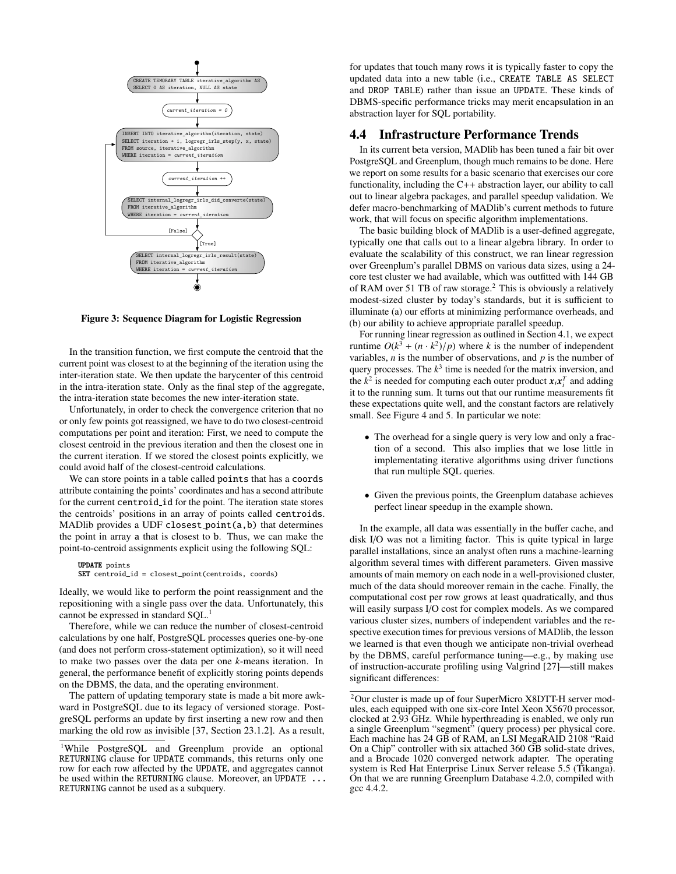

Figure 3: Sequence Diagram for Logistic Regression

In the transition function, we first compute the centroid that the current point was closest to at the beginning of the iteration using the inter-iteration state. We then update the barycenter of this centroid in the intra-iteration state. Only as the final step of the aggregate, the intra-iteration state becomes the new inter-iteration state.

Unfortunately, in order to check the convergence criterion that no or only few points got reassigned, we have to do two closest-centroid computations per point and iteration: First, we need to compute the closest centroid in the previous iteration and then the closest one in the current iteration. If we stored the closest points explicitly, we could avoid half of the closest-centroid calculations.

We can store points in a table called points that has a coords attribute containing the points' coordinates and has a second attribute for the current centroid id for the point. The iteration state stores the centroids' positions in an array of points called centroids. MADlib provides a UDF closest point(a,b) that determines the point in array a that is closest to b. Thus, we can make the point-to-centroid assignments explicit using the following SQL:

UPDATE points SET centroid\_id = closest\_point(centroids, coords)

Ideally, we would like to perform the point reassignment and the repositioning with a single pass over the data. Unfortunately, this cannot be expressed in standard SQL.<sup>1</sup>

Therefore, while we can reduce the number of closest-centroid calculations by one half, PostgreSQL processes queries one-by-one (and does not perform cross-statement optimization), so it will need to make two passes over the data per one *k*-means iteration. In general, the performance benefit of explicitly storing points depends on the DBMS, the data, and the operating environment.

The pattern of updating temporary state is made a bit more awkward in PostgreSQL due to its legacy of versioned storage. PostgreSQL performs an update by first inserting a new row and then marking the old row as invisible [37, Section 23.1.2]. As a result, for updates that touch many rows it is typically faster to copy the updated data into a new table (i.e., CREATE TABLE AS SELECT and DROP TABLE) rather than issue an UPDATE. These kinds of DBMS-specific performance tricks may merit encapsulation in an abstraction layer for SQL portability.

## 4.4 Infrastructure Performance Trends

In its current beta version, MADlib has been tuned a fair bit over PostgreSQL and Greenplum, though much remains to be done. Here we report on some results for a basic scenario that exercises our core functionality, including the  $C++$  abstraction layer, our ability to call out to linear algebra packages, and parallel speedup validation. We defer macro-benchmarking of MADlib's current methods to future work, that will focus on specific algorithm implementations.

The basic building block of MADlib is a user-defined aggregate, typically one that calls out to a linear algebra library. In order to evaluate the scalability of this construct, we ran linear regression over Greenplum's parallel DBMS on various data sizes, using a 24 core test cluster we had available, which was outfitted with 144 GB of RAM over 51 TB of raw storage.<sup>2</sup> This is obviously a relatively modest-sized cluster by today's standards, but it is sufficient to illuminate (a) our efforts at minimizing performance overheads, and (b) our ability to achieve appropriate parallel speedup.

For running linear regression as outlined in Section 4.1, we expect runtime  $O(k^3 + (n \cdot k^2)/p)$  where *k* is the number of independent<br>variables *n* is the number of observations and *n* is the number of variables, *n* is the number of observations, and *p* is the number of query processes. The  $k<sup>3</sup>$  time is needed for the matrix inversion, and the  $k^2$  is needed for computing each outer product  $x_i x_i^T$  and adding it to the running sum. It turns out that our runtime measurements fit these expectations quite well, and the constant factors are relatively small. See Figure 4 and 5. In particular we note:

- The overhead for a single query is very low and only a fraction of a second. This also implies that we lose little in implementating iterative algorithms using driver functions that run multiple SQL queries.
- Given the previous points, the Greenplum database achieves perfect linear speedup in the example shown.

In the example, all data was essentially in the buffer cache, and disk I/O was not a limiting factor. This is quite typical in large parallel installations, since an analyst often runs a machine-learning algorithm several times with different parameters. Given massive amounts of main memory on each node in a well-provisioned cluster, much of the data should moreover remain in the cache. Finally, the computational cost per row grows at least quadratically, and thus will easily surpass I/O cost for complex models. As we compared various cluster sizes, numbers of independent variables and the respective execution times for previous versions of MADlib, the lesson we learned is that even though we anticipate non-trivial overhead by the DBMS, careful performance tuning—e.g., by making use of instruction-accurate profiling using Valgrind [27]—still makes significant differences:

<sup>1</sup>While PostgreSQL and Greenplum provide an optional RETURNING clause for UPDATE commands, this returns only one row for each row affected by the UPDATE, and aggregates cannot be used within the RETURNING clause. Moreover, an UPDATE ... RETURNING cannot be used as a subquery.

<sup>2</sup>Our cluster is made up of four SuperMicro X8DTT-H server modules, each equipped with one six-core Intel Xeon X5670 processor, clocked at 2.93 GHz. While hyperthreading is enabled, we only run a single Greenplum "segment" (query process) per physical core. Each machine has 24 GB of RAM, an LSI MegaRAID 2108 "Raid On a Chip" controller with six attached 360 GB solid-state drives, and a Brocade 1020 converged network adapter. The operating system is Red Hat Enterprise Linux Server release 5.5 (Tikanga). On that we are running Greenplum Database 4.2.0, compiled with gcc 4.4.2.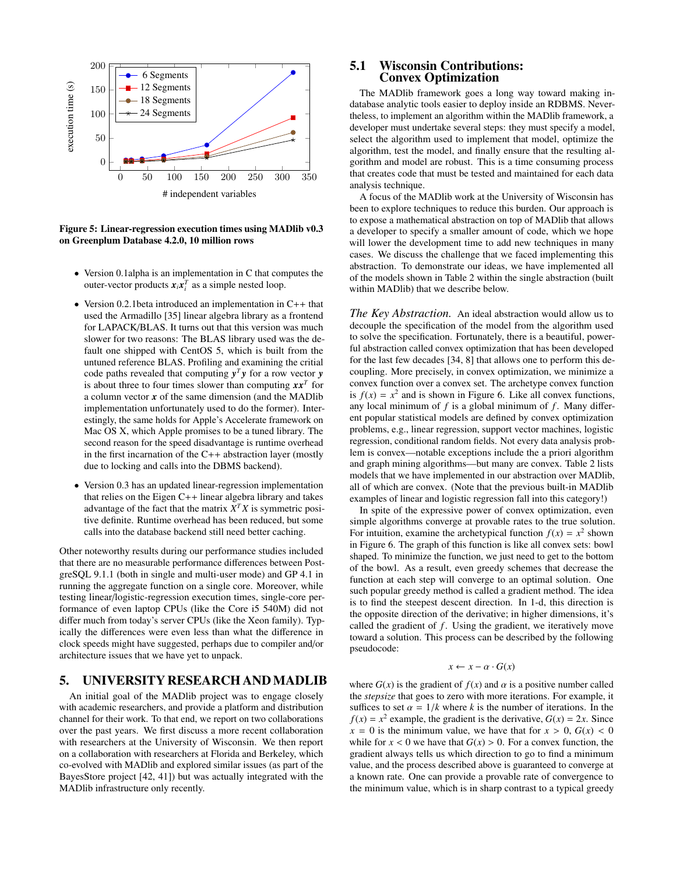

1 on Greenplum Database 4.2.0, 10 million rows Figure 5: Linear-regression execution times using MADlib v0.3

- Version 0.1alpha is an implementation in C that computes the outer-vector products  $\mathbf{x}_i \mathbf{x}_i^T$  as a simple nested loop.
- Version 0.2.1beta introduced an implementation in C++ that used the Armadillo [35] linear algebra library as a frontend for LAPACK/BLAS. It turns out that this version was much slower for two reasons: The BLAS library used was the default one shipped with CentOS 5, which is built from the untuned reference BLAS. Profiling and examining the critial code paths revealed that computing  $y^T y$  for a row vector  $y$ is about three to four times slower than computing *xx<sup>T</sup>* for a column vector *x* of the same dimension (and the MADlib implementation unfortunately used to do the former). Interestingly, the same holds for Apple's Accelerate framework on Mac OS X, which Apple promises to be a tuned library. The second reason for the speed disadvantage is runtime overhead in the first incarnation of the  $C++$  abstraction layer (mostly due to locking and calls into the DBMS backend).
- Version 0.3 has an updated linear-regression implementation that relies on the Eigen C++ linear algebra library and takes advantage of the fact that the matrix  $X^T X$  is symmetric positive definite. Runtime overhead has been reduced, but some calls into the database backend still need better caching.

Other noteworthy results during our performance studies included that there are no measurable performance differences between PostgreSQL 9.1.1 (both in single and multi-user mode) and GP 4.1 in running the aggregate function on a single core. Moreover, while testing linear/logistic-regression execution times, single-core performance of even laptop CPUs (like the Core i5 540M) did not differ much from today's server CPUs (like the Xeon family). Typically the differences were even less than what the difference in clock speeds might have suggested, perhaps due to compiler and/or architecture issues that we have yet to unpack.

#### 5. UNIVERSITY RESEARCH ANDMADLIB

An initial goal of the MADlib project was to engage closely with academic researchers, and provide a platform and distribution channel for their work. To that end, we report on two collaborations over the past years. We first discuss a more recent collaboration with researchers at the University of Wisconsin. We then report on a collaboration with researchers at Florida and Berkeley, which co-evolved with MADlib and explored similar issues (as part of the BayesStore project [42, 41]) but was actually integrated with the MADlib infrastructure only recently.

#### 5.1 Wisconsin Contributions: Convex Optimization

The MADlib framework goes a long way toward making indatabase analytic tools easier to deploy inside an RDBMS. Nevertheless, to implement an algorithm within the MADlib framework, a developer must undertake several steps: they must specify a model, select the algorithm used to implement that model, optimize the algorithm, test the model, and finally ensure that the resulting algorithm and model are robust. This is a time consuming process that creates code that must be tested and maintained for each data analysis technique.

A focus of the MADlib work at the University of Wisconsin has been to explore techniques to reduce this burden. Our approach is to expose a mathematical abstraction on top of MADlib that allows a developer to specify a smaller amount of code, which we hope will lower the development time to add new techniques in many cases. We discuss the challenge that we faced implementing this abstraction. To demonstrate our ideas, we have implemented all of the models shown in Table 2 within the single abstraction (built within MADlib) that we describe below.

*The Key Abstraction.* An ideal abstraction would allow us to decouple the specification of the model from the algorithm used to solve the specification. Fortunately, there is a beautiful, powerful abstraction called convex optimization that has been developed for the last few decades [34, 8] that allows one to perform this decoupling. More precisely, in convex optimization, we minimize a convex function over a convex set. The archetype convex function is  $f(x) = x^2$  and is shown in Figure 6. Like all convex functions, any local minimum of  $f$  is a global minimum of  $f$ . Many different popular statistical models are defined by convex optimization problems, e.g., linear regression, support vector machines, logistic regression, conditional random fields. Not every data analysis problem is convex—notable exceptions include the a priori algorithm and graph mining algorithms—but many are convex. Table 2 lists models that we have implemented in our abstraction over MADlib, all of which are convex. (Note that the previous built-in MADlib examples of linear and logistic regression fall into this category!)

In spite of the expressive power of convex optimization, even simple algorithms converge at provable rates to the true solution. For intuition, examine the archetypical function  $f(x) = x^2$  shown in Figure 6. The graph of this function is like all convex sets: bowl shaped. To minimize the function, we just need to get to the bottom of the bowl. As a result, even greedy schemes that decrease the function at each step will converge to an optimal solution. One such popular greedy method is called a gradient method. The idea is to find the steepest descent direction. In 1-d, this direction is the opposite direction of the derivative; in higher dimensions, it's called the gradient of *f*. Using the gradient, we iteratively move toward a solution. This process can be described by the following pseudocode:

#### $x \leftarrow x - \alpha \cdot G(x)$

where  $G(x)$  is the gradient of  $f(x)$  and  $\alpha$  is a positive number called the *stepsize* that goes to zero with more iterations. For example, it suffices to set  $\alpha = 1/k$  where k is the number of iterations. In the  $f(x) = x^2$  example, the gradient is the derivative,  $G(x) = 2x$ . Since  $x = 0$  is the minimum value, we have that for  $x > 0$ ,  $G(x) < 0$ while for  $x < 0$  we have that  $G(x) > 0$ . For a convex function, the gradient always tells us which direction to go to find a minimum value, and the process described above is guaranteed to converge at a known rate. One can provide a provable rate of convergence to the minimum value, which is in sharp contrast to a typical greedy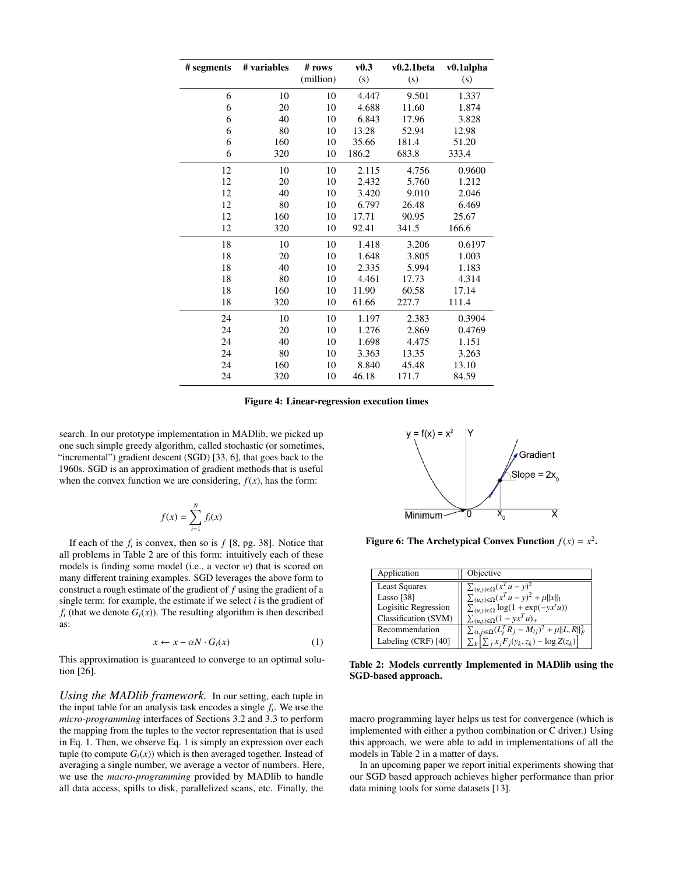| # segments | # variables | v0.3<br># rows<br>v0.2.1beta |       | v0.1alpha |        |
|------------|-------------|------------------------------|-------|-----------|--------|
|            |             | (million)                    | (s)   | (s)       | (s)    |
| 6          | 10          | 10                           | 4.447 | 9.501     | 1.337  |
| 6          | 20          | 10                           | 4.688 | 11.60     | 1.874  |
| 6          | 40          | 10                           | 6.843 | 17.96     | 3.828  |
| 6          | 80          | 10                           | 13.28 | 52.94     | 12.98  |
| 6          | 160         | 10                           | 35.66 | 181.4     | 51.20  |
| 6          | 320         | 10                           | 186.2 | 683.8     | 333.4  |
| 12         | 10          | 10                           | 2.115 | 4.756     | 0.9600 |
| 12         | 20          | 10                           | 2.432 | 5.760     | 1.212  |
| 12         | 40          | 10                           | 3.420 | 9.010     | 2.046  |
| 12         | 80          | 10                           | 6.797 | 26.48     | 6.469  |
| 12         | 160         | 10                           | 17.71 | 90.95     | 25.67  |
| 12         | 320         | 10                           | 92.41 | 341.5     | 166.6  |
| 18         | 10          | 10                           | 1.418 | 3.206     | 0.6197 |
| 18         | 20          | 10                           | 1.648 | 3.805     | 1.003  |
| 18         | 40          | 10                           | 2.335 | 5.994     | 1.183  |
| 18         | 80          | 10                           | 4.461 | 17.73     | 4.314  |
| 18         | 160         | 10                           | 11.90 | 60.58     | 17.14  |
| 18         | 320         | 10                           | 61.66 | 227.7     | 111.4  |
| 24         | 10          | 10                           | 1.197 | 2.383     | 0.3904 |
| 24         | 20          | 10                           | 1.276 | 2.869     | 0.4769 |
| 24         | 40          | 10                           | 1.698 | 4.475     | 1.151  |
| 24         | 80          | 10                           | 3.363 | 13.35     | 3.263  |
| 24         | 160         | 10                           | 8.840 | 45.48     | 13.10  |
| 24         | 320         | 10                           | 46.18 | 171.7     | 84.59  |

Figure 4: Linear-regression execution times

search. In our prototype implementation in MADlib, we picked up one such simple greedy algorithm, called stochastic (or sometimes, "incremental") gradient descent (SGD) [33, 6], that goes back to the 1960s. SGD is an approximation of gradient methods that is useful when the convex function we are considering,  $f(x)$ , has the form:

$$
f(x) = \sum_{i=1}^{N} f_i(x)
$$

If each of the  $f_i$  is convex, then so is  $f$  [8, pg. 38]. Notice that all problems in Table 2 are of this form: intuitively each of these models is finding some model (i.e., a vector *w*) that is scored on many different training examples. SGD leverages the above form to construct a rough estimate of the gradient of *f* using the gradient of a single term: for example, the estimate if we select *i* is the gradient of  $f_i$  (that we denote  $G_i(x)$ ). The resulting algorithm is then described as:

$$
x \leftarrow x - \alpha N \cdot G_i(x) \tag{1}
$$

This approximation is guaranteed to converge to an optimal solution [26].

*Using the MADlib framework.* In our setting, each tuple in the input table for an analysis task encodes a single *f<sup>i</sup>* . We use the *micro-programming* interfaces of Sections 3.2 and 3.3 to perform the mapping from the tuples to the vector representation that is used in Eq. 1. Then, we observe Eq. 1 is simply an expression over each tuple (to compute  $G_i(x)$ ) which is then averaged together. Instead of averaging a single number, we average a vector of numbers. Here, we use the *macro-programming* provided by MADlib to handle all data access, spills to disk, parallelized scans, etc. Finally, the



Figure 6: The Archetypical Convex Function  $f(x) = x^2$ .

| Application          | Objective                                                         |
|----------------------|-------------------------------------------------------------------|
| <b>Least Squares</b> | $\sum_{(u,y)\in\Omega}(x^Tu-y)^2$                                 |
| Lasso [38]           | $\sum_{(u,y)\in\Omega} (x^T u - y)^2 + \mu   x  _1$               |
| Logisitic Regression | $\sum_{(u,y)\in\Omega} \log(1 + \exp(-yx^t u))$                   |
| Classification (SVM) | $\sum_{(u,y)\in\Omega}(1-yx^Tu)_+$                                |
| Recommendation       | $\sum_{(i,j)\in\Omega} (L_i^T R_j - M_{ij})^2 + \mu   L, R  _F^2$ |
| Labeling (CRF) [40]  | $\sum_k \left[ \sum_j x_j F_j(y_k, z_k) - \log Z(z_k) \right]$    |

Table 2: Models currently Implemented in MADlib using the SGD-based approach.

macro programming layer helps us test for convergence (which is implemented with either a python combination or C driver.) Using this approach, we were able to add in implementations of all the models in Table 2 in a matter of days.

In an upcoming paper we report initial experiments showing that our SGD based approach achieves higher performance than prior data mining tools for some datasets [13].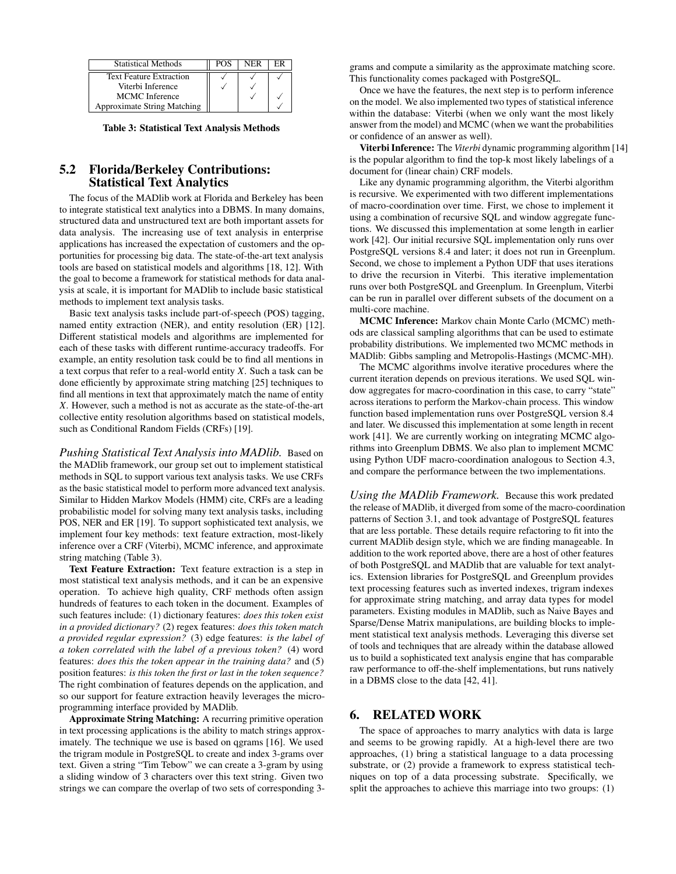| <b>Statistical Methods</b>         | POS | NER | нk. |
|------------------------------------|-----|-----|-----|
| <b>Text Feature Extraction</b>     |     |     |     |
| Viterbi Inference                  |     |     |     |
| MCMC Inference                     |     |     |     |
| <b>Approximate String Matching</b> |     |     |     |

Table 3: Statistical Text Analysis Methods

# 5.2 Florida/Berkeley Contributions: Statistical Text Analytics

The focus of the MADlib work at Florida and Berkeley has been to integrate statistical text analytics into a DBMS. In many domains, structured data and unstructured text are both important assets for data analysis. The increasing use of text analysis in enterprise applications has increased the expectation of customers and the opportunities for processing big data. The state-of-the-art text analysis tools are based on statistical models and algorithms [18, 12]. With the goal to become a framework for statistical methods for data analysis at scale, it is important for MADlib to include basic statistical methods to implement text analysis tasks.

Basic text analysis tasks include part-of-speech (POS) tagging, named entity extraction (NER), and entity resolution (ER) [12]. Different statistical models and algorithms are implemented for each of these tasks with different runtime-accuracy tradeoffs. For example, an entity resolution task could be to find all mentions in a text corpus that refer to a real-world entity *X*. Such a task can be done efficiently by approximate string matching [25] techniques to find all mentions in text that approximately match the name of entity *X*. However, such a method is not as accurate as the state-of-the-art collective entity resolution algorithms based on statistical models, such as Conditional Random Fields (CRFs) [19].

*Pushing Statistical Text Analysis into MADlib.* Based on the MADlib framework, our group set out to implement statistical methods in SQL to support various text analysis tasks. We use CRFs as the basic statistical model to perform more advanced text analysis. Similar to Hidden Markov Models (HMM) cite, CRFs are a leading probabilistic model for solving many text analysis tasks, including POS, NER and ER [19]. To support sophisticated text analysis, we implement four key methods: text feature extraction, most-likely inference over a CRF (Viterbi), MCMC inference, and approximate string matching (Table 3).

Text Feature Extraction: Text feature extraction is a step in most statistical text analysis methods, and it can be an expensive operation. To achieve high quality, CRF methods often assign hundreds of features to each token in the document. Examples of such features include: (1) dictionary features: *does this token exist in a provided dictionary?* (2) regex features: *does this token match a provided regular expression?* (3) edge features: *is the label of a token correlated with the label of a previous token?* (4) word features: *does this the token appear in the training data?* and (5) position features: *is this token the first or last in the token sequence?* The right combination of features depends on the application, and so our support for feature extraction heavily leverages the microprogramming interface provided by MADlib.

Approximate String Matching: A recurring primitive operation in text processing applications is the ability to match strings approximately. The technique we use is based on qgrams [16]. We used the trigram module in PostgreSQL to create and index 3-grams over text. Given a string "Tim Tebow" we can create a 3-gram by using a sliding window of 3 characters over this text string. Given two strings we can compare the overlap of two sets of corresponding 3grams and compute a similarity as the approximate matching score. This functionality comes packaged with PostgreSQL.

Once we have the features, the next step is to perform inference on the model. We also implemented two types of statistical inference within the database: Viterbi (when we only want the most likely answer from the model) and MCMC (when we want the probabilities or confidence of an answer as well).

Viterbi Inference: The *Viterbi* dynamic programming algorithm [14] is the popular algorithm to find the top-k most likely labelings of a document for (linear chain) CRF models.

Like any dynamic programming algorithm, the Viterbi algorithm is recursive. We experimented with two different implementations of macro-coordination over time. First, we chose to implement it using a combination of recursive SQL and window aggregate functions. We discussed this implementation at some length in earlier work [42]. Our initial recursive SQL implementation only runs over PostgreSQL versions 8.4 and later; it does not run in Greenplum. Second, we chose to implement a Python UDF that uses iterations to drive the recursion in Viterbi. This iterative implementation runs over both PostgreSQL and Greenplum. In Greenplum, Viterbi can be run in parallel over different subsets of the document on a multi-core machine.

MCMC Inference: Markov chain Monte Carlo (MCMC) methods are classical sampling algorithms that can be used to estimate probability distributions. We implemented two MCMC methods in MADlib: Gibbs sampling and Metropolis-Hastings (MCMC-MH).

The MCMC algorithms involve iterative procedures where the current iteration depends on previous iterations. We used SQL window aggregates for macro-coordination in this case, to carry "state" across iterations to perform the Markov-chain process. This window function based implementation runs over PostgreSQL version 8.4 and later. We discussed this implementation at some length in recent work [41]. We are currently working on integrating MCMC algorithms into Greenplum DBMS. We also plan to implement MCMC using Python UDF macro-coordination analogous to Section 4.3, and compare the performance between the two implementations.

*Using the MADlib Framework.* Because this work predated the release of MADlib, it diverged from some of the macro-coordination patterns of Section 3.1, and took advantage of PostgreSQL features that are less portable. These details require refactoring to fit into the current MADlib design style, which we are finding manageable. In addition to the work reported above, there are a host of other features of both PostgreSQL and MADlib that are valuable for text analytics. Extension libraries for PostgreSQL and Greenplum provides text processing features such as inverted indexes, trigram indexes for approximate string matching, and array data types for model parameters. Existing modules in MADlib, such as Naive Bayes and Sparse/Dense Matrix manipulations, are building blocks to implement statistical text analysis methods. Leveraging this diverse set of tools and techniques that are already within the database allowed us to build a sophisticated text analysis engine that has comparable raw performance to off-the-shelf implementations, but runs natively in a DBMS close to the data [42, 41].

#### 6. RELATED WORK

The space of approaches to marry analytics with data is large and seems to be growing rapidly. At a high-level there are two approaches, (1) bring a statistical language to a data processing substrate, or (2) provide a framework to express statistical techniques on top of a data processing substrate. Specifically, we split the approaches to achieve this marriage into two groups: (1)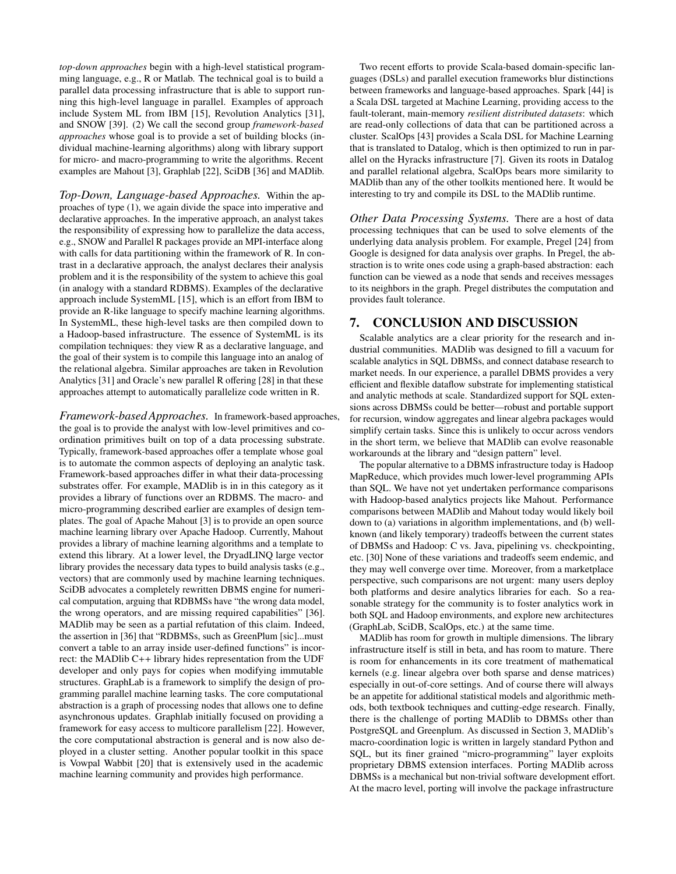*top-down approaches* begin with a high-level statistical programming language, e.g., R or Matlab. The technical goal is to build a parallel data processing infrastructure that is able to support running this high-level language in parallel. Examples of approach include System ML from IBM [15], Revolution Analytics [31], and SNOW [39]. (2) We call the second group *framework-based approaches* whose goal is to provide a set of building blocks (individual machine-learning algorithms) along with library support for micro- and macro-programming to write the algorithms. Recent examples are Mahout [3], Graphlab [22], SciDB [36] and MADlib.

*Top-Down, Language-based Approaches.* Within the approaches of type (1), we again divide the space into imperative and declarative approaches. In the imperative approach, an analyst takes the responsibility of expressing how to parallelize the data access, e.g., SNOW and Parallel R packages provide an MPI-interface along with calls for data partitioning within the framework of R. In contrast in a declarative approach, the analyst declares their analysis problem and it is the responsibility of the system to achieve this goal (in analogy with a standard RDBMS). Examples of the declarative approach include SystemML [15], which is an effort from IBM to provide an R-like language to specify machine learning algorithms. In SystemML, these high-level tasks are then compiled down to a Hadoop-based infrastructure. The essence of SystemML is its compilation techniques: they view R as a declarative language, and the goal of their system is to compile this language into an analog of the relational algebra. Similar approaches are taken in Revolution Analytics [31] and Oracle's new parallel R offering [28] in that these approaches attempt to automatically parallelize code written in R.

*Framework-based Approaches.* In framework-based approaches, the goal is to provide the analyst with low-level primitives and coordination primitives built on top of a data processing substrate. Typically, framework-based approaches offer a template whose goal is to automate the common aspects of deploying an analytic task. Framework-based approaches differ in what their data-processing substrates offer. For example, MADlib is in in this category as it provides a library of functions over an RDBMS. The macro- and micro-programming described earlier are examples of design templates. The goal of Apache Mahout [3] is to provide an open source machine learning library over Apache Hadoop. Currently, Mahout provides a library of machine learning algorithms and a template to extend this library. At a lower level, the DryadLINQ large vector library provides the necessary data types to build analysis tasks (e.g., vectors) that are commonly used by machine learning techniques. SciDB advocates a completely rewritten DBMS engine for numerical computation, arguing that RDBMSs have "the wrong data model, the wrong operators, and are missing required capabilities" [36]. MADlib may be seen as a partial refutation of this claim. Indeed, the assertion in [36] that "RDBMSs, such as GreenPlum [sic]...must convert a table to an array inside user-defined functions" is incorrect: the MADlib C++ library hides representation from the UDF developer and only pays for copies when modifying immutable structures. GraphLab is a framework to simplify the design of programming parallel machine learning tasks. The core computational abstraction is a graph of processing nodes that allows one to define asynchronous updates. Graphlab initially focused on providing a framework for easy access to multicore parallelism [22]. However, the core computational abstraction is general and is now also deployed in a cluster setting. Another popular toolkit in this space is Vowpal Wabbit [20] that is extensively used in the academic machine learning community and provides high performance.

Two recent efforts to provide Scala-based domain-specific languages (DSLs) and parallel execution frameworks blur distinctions between frameworks and language-based approaches. Spark [44] is a Scala DSL targeted at Machine Learning, providing access to the fault-tolerant, main-memory *resilient distributed datasets*: which are read-only collections of data that can be partitioned across a cluster. ScalOps [43] provides a Scala DSL for Machine Learning that is translated to Datalog, which is then optimized to run in parallel on the Hyracks infrastructure [7]. Given its roots in Datalog and parallel relational algebra, ScalOps bears more similarity to MADlib than any of the other toolkits mentioned here. It would be interesting to try and compile its DSL to the MADlib runtime.

*Other Data Processing Systems.* There are a host of data processing techniques that can be used to solve elements of the underlying data analysis problem. For example, Pregel [24] from Google is designed for data analysis over graphs. In Pregel, the abstraction is to write ones code using a graph-based abstraction: each function can be viewed as a node that sends and receives messages to its neighbors in the graph. Pregel distributes the computation and provides fault tolerance.

## 7. CONCLUSION AND DISCUSSION

Scalable analytics are a clear priority for the research and industrial communities. MADlib was designed to fill a vacuum for scalable analytics in SQL DBMSs, and connect database research to market needs. In our experience, a parallel DBMS provides a very efficient and flexible dataflow substrate for implementing statistical and analytic methods at scale. Standardized support for SQL extensions across DBMSs could be better—robust and portable support for recursion, window aggregates and linear algebra packages would simplify certain tasks. Since this is unlikely to occur across vendors in the short term, we believe that MADlib can evolve reasonable workarounds at the library and "design pattern" level.

The popular alternative to a DBMS infrastructure today is Hadoop MapReduce, which provides much lower-level programming APIs than SQL. We have not yet undertaken performance comparisons with Hadoop-based analytics projects like Mahout. Performance comparisons between MADlib and Mahout today would likely boil down to (a) variations in algorithm implementations, and (b) wellknown (and likely temporary) tradeoffs between the current states of DBMSs and Hadoop: C vs. Java, pipelining vs. checkpointing, etc. [30] None of these variations and tradeoffs seem endemic, and they may well converge over time. Moreover, from a marketplace perspective, such comparisons are not urgent: many users deploy both platforms and desire analytics libraries for each. So a reasonable strategy for the community is to foster analytics work in both SQL and Hadoop environments, and explore new architectures (GraphLab, SciDB, ScalOps, etc.) at the same time.

MADlib has room for growth in multiple dimensions. The library infrastructure itself is still in beta, and has room to mature. There is room for enhancements in its core treatment of mathematical kernels (e.g. linear algebra over both sparse and dense matrices) especially in out-of-core settings. And of course there will always be an appetite for additional statistical models and algorithmic methods, both textbook techniques and cutting-edge research. Finally, there is the challenge of porting MADlib to DBMSs other than PostgreSQL and Greenplum. As discussed in Section 3, MADlib's macro-coordination logic is written in largely standard Python and SQL, but its finer grained "micro-programming" layer exploits proprietary DBMS extension interfaces. Porting MADlib across DBMSs is a mechanical but non-trivial software development effort. At the macro level, porting will involve the package infrastructure